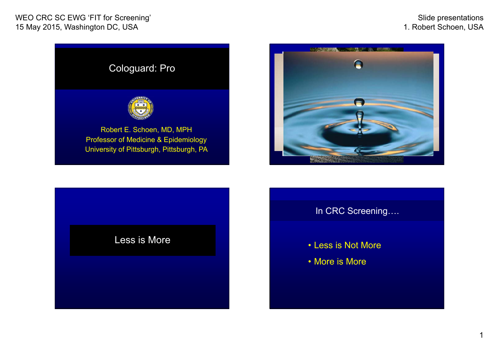Slide presentations 1. Robert Schoen, USA





## Less is More

In CRC Screening….

- Less is Not More
- More is More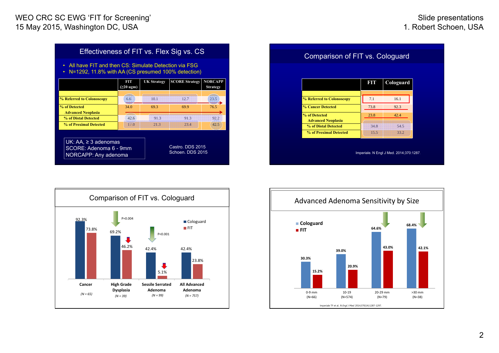| Effectiveness of FIT vs. Flex Sig vs. CS<br>All have FIT and then CS: Simulate Detection via FSG<br>$\bullet$<br>N=1292, 11.8% with AA (CS presumed 100% detection)<br>$\bullet$ |                 |                    |                       |                                   |
|----------------------------------------------------------------------------------------------------------------------------------------------------------------------------------|-----------------|--------------------|-----------------------|-----------------------------------|
|                                                                                                                                                                                  | nt<br>(≥20 ugm) | <b>UK Strategy</b> | <b>SCORE Strategy</b> | <b>NORCAPP</b><br><b>Strategy</b> |
| <b>% Referred to Colonoscopy</b>                                                                                                                                                 | 6.6             | 10.1               | 12.7                  | 23.5                              |
| % of Detected<br><b>Advanced Neoplasia</b>                                                                                                                                       | 34.0            | 69.3               | 69.9                  | 76.5                              |
| % of Distal Detected                                                                                                                                                             | 42.6            | 913                | 91.3                  | 92.2                              |
| % of Proximal Detected                                                                                                                                                           | 17.0            | 21.3               | 23.4                  | 42.5                              |
| UK: $\overline{AA}$ , $\geq$ 3 adenomas<br>Castro, DDS 2015<br>SCORE: Adenoma 6 - 9mm<br>Schoen, DDS 2015<br>NORCAPP: Any adenoma                                                |                 |                    |                       |                                   |

|                                            | FIT  | Cologuard |
|--------------------------------------------|------|-----------|
| % Referred to Colonoscopy                  | 7.1  | 16.1      |
| % Cancer Detected                          | 73.8 | 92.3      |
| % of Detected<br><b>Advanced Neoplasia</b> | 23.8 | 42.4      |
| % of Distal Detected                       | 34.8 | 54.5      |
| % of Proximal Detected                     | 15.5 | 33.2      |



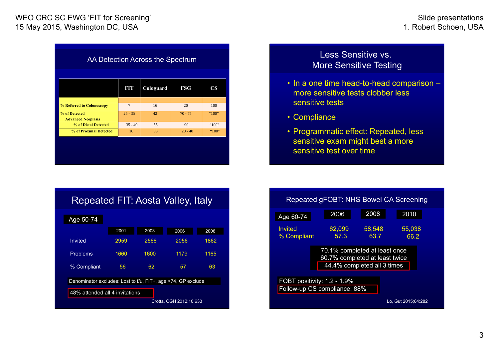| AA Detection Across the Spectrum           |                |           |            |       |  |
|--------------------------------------------|----------------|-----------|------------|-------|--|
|                                            | ET             | Cologuard | <b>FSG</b> | CS    |  |
|                                            |                |           |            |       |  |
| % Referred to Colonoscopy                  | $\overline{7}$ | 16        | 20         | 100   |  |
| % of Detected<br><b>Advanced Neoplasia</b> | $25 - 35$      | 42        | $70 - 75$  | "100" |  |
| % of Distal Detected                       | $35 - 40$      | 55        | 90         | "100" |  |
| % of Proximal Detected                     | 16             | 33        | $20 - 40$  | "100" |  |
|                                            |                |           |            |       |  |

Less Sensitive vs.<br>More Sensitive Testing

- In a one time head-to-head comparison more sensitive tests clobber less sensitive tests
- Compliance
- Programmatic effect: Repeated, less sensitive exam might best a more sensitive test over time

| Repeated FIT: Aosta Valley, Italy                            |      |      |      |      |
|--------------------------------------------------------------|------|------|------|------|
| Age 50-74                                                    |      |      |      |      |
|                                                              | 2001 | 2003 | 2006 | 2008 |
| Invited                                                      | 2959 | 2566 | 2056 | 1862 |
| <b>Problems</b>                                              | 1660 | 1600 | 1179 | 1165 |
| % Compliant                                                  | 56   | 62   | 57   | 63   |
| Denominator excludes: Lost to f/u, FIT+, age >74, GP exclude |      |      |      |      |
| 48% attended all 4 invitations                               |      |      |      |      |
| Crotta, CGH 2012;10:633                                      |      |      |      |      |

| Repeated gFOBT: NHS Bowel CA Screening                                                         |                |                |                     |  |
|------------------------------------------------------------------------------------------------|----------------|----------------|---------------------|--|
| Age 60-74                                                                                      | 2006           | 2008           | 2010                |  |
| Invited<br>% Compliant                                                                         | 62,099<br>57.3 | 58,548<br>63.7 | 55,038<br>66.2      |  |
| 70.1% completed at least once<br>60.7% completed at least twice<br>44.4% completed all 3 times |                |                |                     |  |
| FOBT positivity: 1.2 - 1.9%<br>Follow-up CS compliance: 88%                                    |                |                |                     |  |
|                                                                                                |                |                | Lo. Gut 2015:64:282 |  |